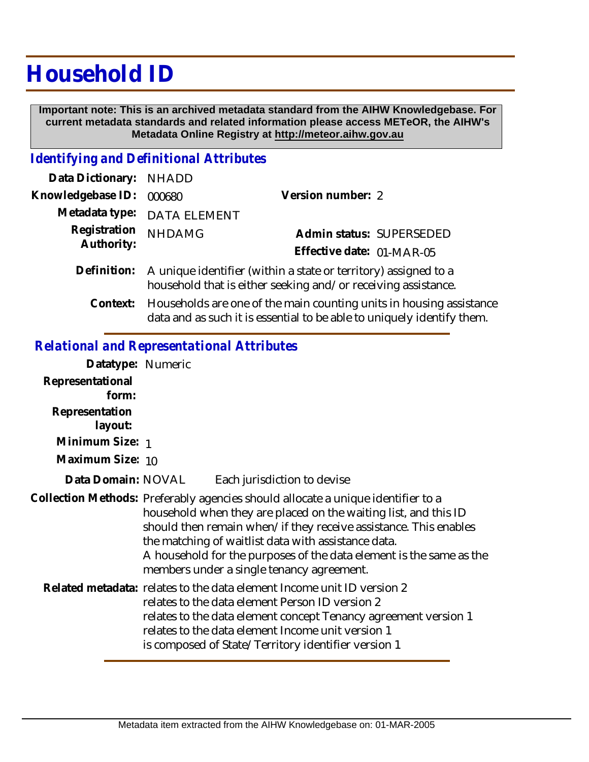## **Household ID**

 **Important note: This is an archived metadata standard from the AIHW Knowledgebase. For current metadata standards and related information please access METeOR, the AIHW's Metadata Online Registry at http://meteor.aihw.gov.au**

## *Identifying and Definitional Attributes*

| Data Dictionary: NHADD     |                                                                                                                                              |                                                                       |  |
|----------------------------|----------------------------------------------------------------------------------------------------------------------------------------------|-----------------------------------------------------------------------|--|
| Knowledgebase ID:          | 000680                                                                                                                                       | Version number: 2                                                     |  |
|                            | Metadata type: DATA ELEMENT                                                                                                                  |                                                                       |  |
| Registration<br>Authority: | <b>NHDAMG</b>                                                                                                                                | Admin status: SUPERSEDED<br>Effective date: 01-MAR-05                 |  |
|                            | Definition: A unique identifier (within a state or territory) assigned to a<br>household that is either seeking and/or receiving assistance. |                                                                       |  |
|                            |                                                                                                                                              | Context. Ususehelde are ano of the mein counting unite in housing eac |  |

Households are one of the main counting units in housing assistance data and as such it is essential to be able to uniquely identify them. **Context:**

## *Relational and Representational Attributes*

| Datatype: Numeric         |                                                                                                                                                                                                                                                                                                                                                                                                    |  |
|---------------------------|----------------------------------------------------------------------------------------------------------------------------------------------------------------------------------------------------------------------------------------------------------------------------------------------------------------------------------------------------------------------------------------------------|--|
| Representational<br>form: |                                                                                                                                                                                                                                                                                                                                                                                                    |  |
| Representation<br>layout: |                                                                                                                                                                                                                                                                                                                                                                                                    |  |
| Minimum Size: 1           |                                                                                                                                                                                                                                                                                                                                                                                                    |  |
| Maximum Size: 10          |                                                                                                                                                                                                                                                                                                                                                                                                    |  |
| Data Domain: NOVAL        | Each jurisdiction to devise                                                                                                                                                                                                                                                                                                                                                                        |  |
|                           | Collection Methods: Preferably agencies should allocate a unique identifier to a<br>household when they are placed on the waiting list, and this ID<br>should then remain when/if they receive assistance. This enables<br>the matching of waitlist data with assistance data.<br>A household for the purposes of the data element is the same as the<br>members under a single tenancy agreement. |  |
|                           | Related metadata: relates to the data element Income unit ID version 2<br>relates to the data element Person ID version 2<br>relates to the data element concept Tenancy agreement version 1<br>relates to the data element Income unit version 1<br>is composed of State/Territory identifier version 1                                                                                           |  |